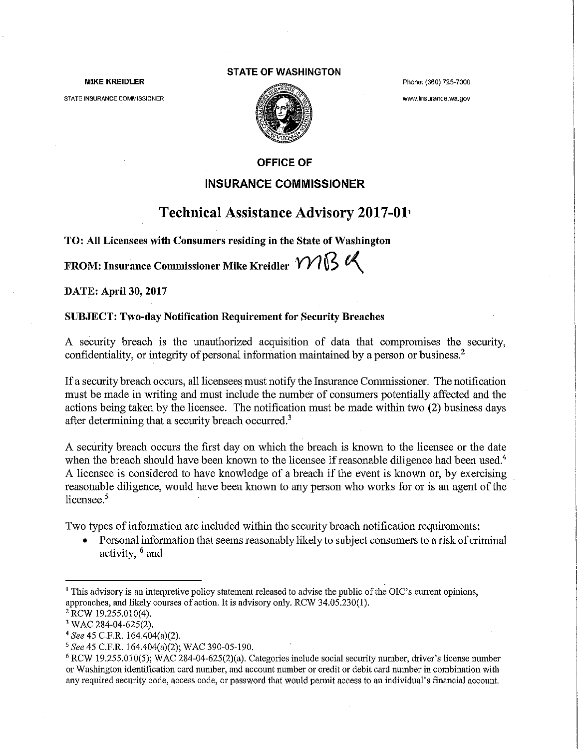#### MIKE KREIDLER

STATE INSURANCE COMMISSIONER

#### STATE OF WASHINGTON



Phone: (360) 725-7000

www.lnsurance.wa.gov

## OFFICE OF

## INSURANCE COMMISSIONER

# Technical Assistance Advisory 2017-011

TO: All Licensees with Consumers residing in the State of Washington

FROM: Insurance Commissioner Mike Kreidler  $m$ <sup>8</sup>

DATE: April 30, 2017

#### SUBJECT: Two-day Notification Requirement for Security Breaches

A security breach is the unauthorized acquisition of data that compromises the security, confidentiality, or integrity of personal inforrnation maintained by a person or business.2

If a security breach occurs, all licensees must notify the Insurance Commissioner. The notification must be made in writing and must include the number of consumers potentially affected and the actions being taken by the licensee. The notification must be made within two (2) business days after determining that a security breach occurred.<sup>3</sup>

A security breach occurs the first day on which the breach is known to the licensee or the date when the breach should have been known to the licensee if reasonable diligence had been used.<sup>4</sup> A licensee is considered to have knowledge of a breach if the event is known or, by exercising reasonable diligence, would have been known to any person who works for or is an agent of the licensee.<sup>5</sup>

Two types of information are included within the security breach notification requirements:

• Personal information that seems reasonably likely to subject consumers to a risk of criminal activity, 6 and

<sup>&</sup>lt;sup>1</sup> This advisory is an interpretive policy statement released to advise the public of the OIC's current opinions, approaches, and likely courses of action. It is advisory only. RCW 34.05.230(1).<br>
<sup>2</sup> RCW 19.255.010(4).<br>
<sup>3</sup> WAC 284-04-625(2).<br>
<sup>4</sup> See 45 C.F.R. 164.404(a)(2).

<sup>&</sup>lt;sup>5</sup> See 45 C.F.R. 164.404(a)(2); WAC 390-05-190.<br><sup>6</sup> RCW 19.255.010(5); WAC 284-04-625(2)(a). Categories include social security number, driver's license number or Washington identification card number, and account number or credit or debit card number in combination with any required security code, access code, or password that would permit access to an individual's financial account.